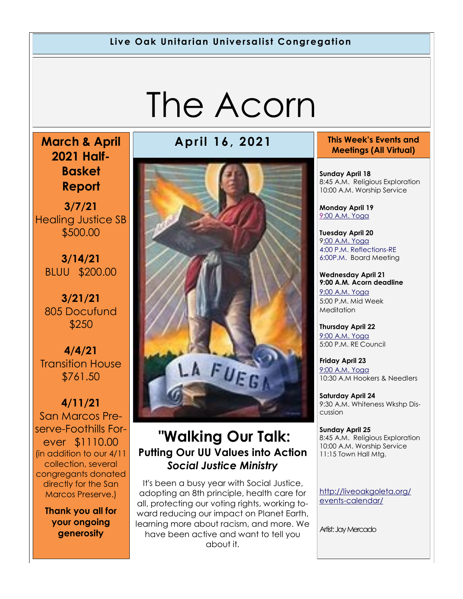#### **Live Oak Unitarian Universalist Congregation**

# The Acorn

**March & April 2021 Half-Basket Report** 

**3/7/21**  Healing Justice SB \$500.00

**3/14/21**  BLUU \$200.00

**3/21/21**  805 Docufund \$250

**4/4/21**  Transition House \$761.50

**4/11/21**  San Marcos Preserve-Foothills Forever \$1110.00 (in addition to our 4/11 collection, several congregants donated directly for the San Marcos Preserve.)

**Thank you all for your ongoing generosity**

#### **April 16, 2021 This Week's Events and**



#### **"Walking Our Talk: Putting Our UU Values into Action**  *Social Justice Ministry*

It's been a busy year with Social Justice, adopting an 8th principle, health care for all, protecting our voting rights, working toward reducing our impact on Planet Earth, learning more about racism, and more. We have been active and want to tell you about it.

### **Meetings (All Virtual)**

**Sunday April 18** 8:45 A.M. Religious Exploration 10:00 A.M. Worship Service

**Monday April 19** [9:](https://us02web.zoom.us/meeting/register/tZ0pc-6qrTwqH9WUfmrB_nZu0MWqJ8CyS3Uw)[00 A.M. Yoga](https://us02web.zoom.us/j/86278199291?pwd=WUh1MFJyVXNVOTIyQ1NmanJoSmNXQT09)

**Tuesday April 20** 9[:00 A.M. Yoga](https://us02web.zoom.us/meeting/register/tZ0pc-6qrTwqH9WUfmrB_nZu0MWqJ8CyS3Uw) [4:00 P.M. Reflections-RE](https://us02web.zoom.us/meeting/register/tZ0pc-6qrTwqH9WUfmrB_nZu0MWqJ8CyS3Uw) [6:00P.M. Bo](https://us02web.zoom.us/meeting/register/tZ0pc-6qrTwqH9WUfmrB_nZu0MWqJ8CyS3Uw)ard Meeting

**Wednesday April 21 9:00 A.M. Acorn deadline** [9:00 A.M. Yoga](https://us02web.zoom.us/meeting/register/tZ0pc-6qrTwqH9WUfmrB_nZu0MWqJ8CyS3Uw)  5:00 P.M. Mid Week Meditation

**Thursday April 22** [9:00 A.M. Yoga](https://us02web.zoom.us/meeting/register/tZ0pc-6qrTwqH9WUfmrB_nZu0MWqJ8CyS3Uw)  5:00 P.M. RE Council

**Friday April 23** [9:00 A.M. Yoga](https://us02web.zoom.us/meeting/register/tZ0pc-6qrTwqH9WUfmrB_nZu0MWqJ8CyS3Uw)  10:30 A.M Hookers & Needlers

**Saturday April 24** 9:30 A.M. Whiteness Wkshp Discussion

**Sunday April 25** 8:45 A.M. Religious Exploration 10:00 A.M. Worship Service 11:15 Town Hall Mtg.

[http://liveoakgoleta.org/](http://liveoakgoleta.org/events-calendar/) [events-calendar/](http://liveoakgoleta.org/events-calendar/)

Artist: Jay Mercado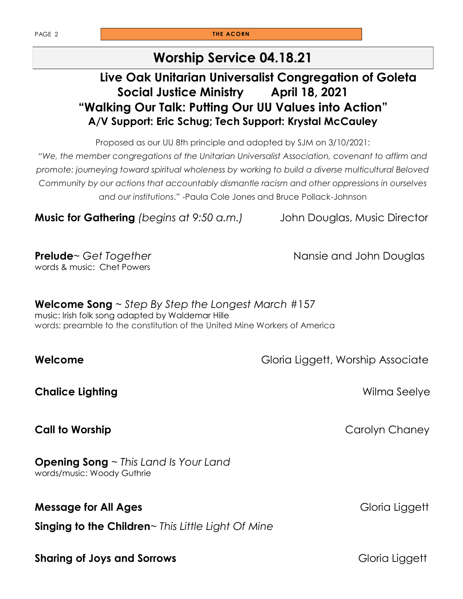PAGE 2 **THE ACORN** 

#### **Worship Service 04.18.21**

#### **Live Oak Unitarian Universalist Congregation of Goleta Social Justice Ministry April 18, 2021 "Walking Our Talk: Putting Our UU Values into Action" A/V Support: Eric Schug; Tech Support: Krystal McCauley**

Proposed as our UU 8th principle and adopted by SJM on 3/10/2021:

*"We, the member congregations of the Unitarian Universalist Association, covenant to affirm and promote: journeying toward spiritual wholeness by working to build a diverse multicultural Beloved Community by our actions that accountably dismantle racism and other oppressions in ourselves and our institutions*." -Paula Cole Jones and Bruce Pollack-Johnson

**Music for Gathering** *(begins at 9:50 a.m.)* John Douglas, Music Director

**Prelude**~ Get Together **Nansie and John Douglas** words & music: Chet Powers

**Welcome Song** ~ *Step By Step the Longest March* #157 music: Irish folk song adapted by Waldemar Hille words: preamble to the constitution of the United Mine Workers of America

**Welcome** Gloria Liggett, Worship Associate

**Chalice Lighting Chalice Lighting and Chalice Lighting Seelye** 

**Opening Song** ~ *This Land Is Your Land*  words/music: Woody Guthrie

#### **Message for All Ages Gloria Liggett Gloria Liggett**

**Singing to the Children**~ *This Little Light Of Mine*

**Sharing of Joys and Sorrows Gloria Liggett Gloria Liggett** 

**Call to Worship Carolyn Chaney**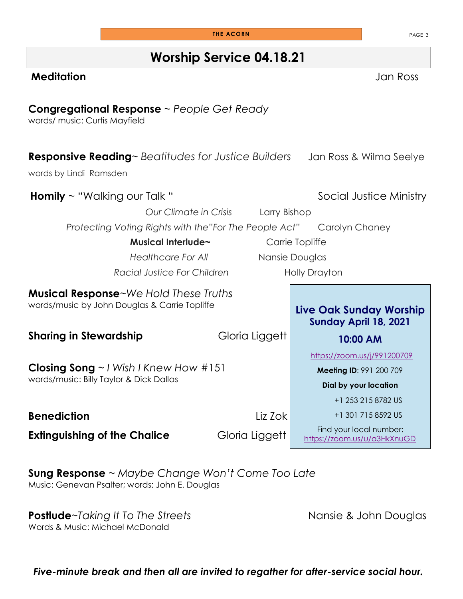**Worship Service 04.18.21**

#### **Meditation** Jan Ross

#### **Congregational Response** ~ *People Get Ready*

words/ music: Curtis Mayfield

| <b>Responsive Reading</b> ~ Beatitudes for Justice Builders                                         |  |                                                                                 | Jan Ross & Wilma Seelye                                |
|-----------------------------------------------------------------------------------------------------|--|---------------------------------------------------------------------------------|--------------------------------------------------------|
| words by Lindi Ramsden                                                                              |  |                                                                                 |                                                        |
| <b>Homily</b> $\sim$ "Walking our Talk "                                                            |  |                                                                                 | Social Justice Ministry                                |
| Our Climate in Crisis<br>Larry Bishop                                                               |  |                                                                                 |                                                        |
| Protecting Voting Rights with the"For The People Act"                                               |  |                                                                                 | Carolyn Chaney                                         |
| Musical Interlude~                                                                                  |  |                                                                                 | Carrie Topliffe                                        |
| <b>Healthcare For All</b>                                                                           |  | Nansie Douglas                                                                  |                                                        |
| Racial Justice For Children                                                                         |  |                                                                                 | <b>Holly Drayton</b>                                   |
| <b>Musical Response</b> ~We Hold These Truths<br>words/music by John Douglas & Carrie Topliffe      |  | <b>Live Oak Sunday Worship</b><br>Sunday April 18, 2021                         |                                                        |
| <b>Sharing in Stewardship</b>                                                                       |  | Gloria Liggett                                                                  | 10:00 AM                                               |
| <b>Closing Song</b> $\sim$ <i>I</i> Wish I Knew How #151<br>words/music: Billy Taylor & Dick Dallas |  | https://zoom.us/j/991200709<br>Meeting ID: 991 200 709<br>Dial by your location |                                                        |
|                                                                                                     |  |                                                                                 | +1 253 215 8782 US                                     |
| <b>Benediction</b>                                                                                  |  | Liz Zok                                                                         | +1 301 715 8592 US                                     |
| <b>Extinguishing of the Chalice</b>                                                                 |  | Gloria Liggett                                                                  | Find your local number:<br>https://zoom.us/u/a3HkXnuGD |

**Sung Response** ~ *Maybe Change Won't Come Too Late* Music: Genevan Psalter; words: John E. Douglas

**Postlude**~*Taking It To The Streets* **Nansie & John Douglas** Words & Music: Michael McDonald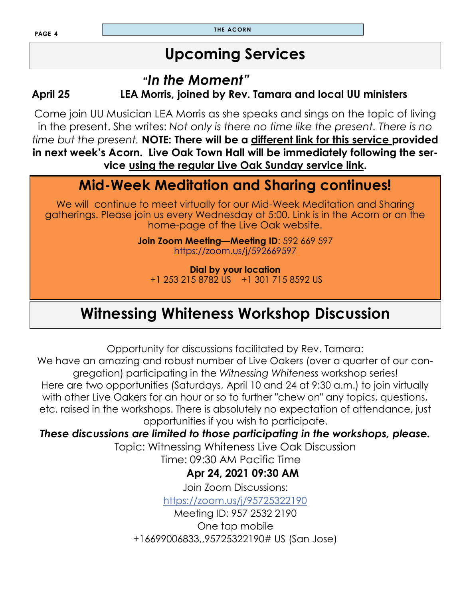**T HE ACORN**

### **Upcoming Services**

#### **"***In the Moment"*

**April 25 LEA Morris, joined by Rev. Tamara and local UU ministers** 

Come join UU Musician LEA Morris as she speaks and sings on the topic of living in the present. She writes: *Not only is there no time like the present. There is no time but the present.* **NOTE: There will be a different link for this service provided in next week's Acorn. Live Oak Town Hall will be immediately following the service using the regular Live Oak Sunday service link.**

### **Mid-Week Meditation and Sharing continues!**

We will continue to meet virtually for our Mid-Week Meditation and Sharing gatherings. Please join us every Wednesday at 5:00. Link is in the Acorn or on the home-page of the Live Oak website.

> **Join Zoom Meeting—Meeting ID**: 592 669 597 <https://zoom.us/j/592669597>

**Dial by your location** +1 253 215 8782 US +1 301 715 8592 US

### **Witnessing Whiteness Workshop Discussion**

Opportunity for discussions facilitated by Rev. Tamara:

We have an amazing and robust number of Live Oakers (over a quarter of our congregation) participating in the *Witnessing Whiteness* workshop series!

Here are two opportunities (Saturdays, April 10 and 24 at 9:30 a.m.) to join virtually with other Live Oakers for an hour or so to further "chew on" any topics, questions, etc. raised in the workshops. There is absolutely no expectation of attendance, just opportunities if you wish to participate.

#### *These discussions are limited to those participating in the workshops, please.*

Topic: Witnessing Whiteness Live Oak Discussion

Time: 09:30 AM Pacific Time

#### **Apr 24, 2021 09:30 AM**

Join Zoom Discussions: <https://zoom.us/j/95725322190>

Meeting ID: 957 2532 2190 One tap mobile +16699006833,,95725322190# US (San Jose)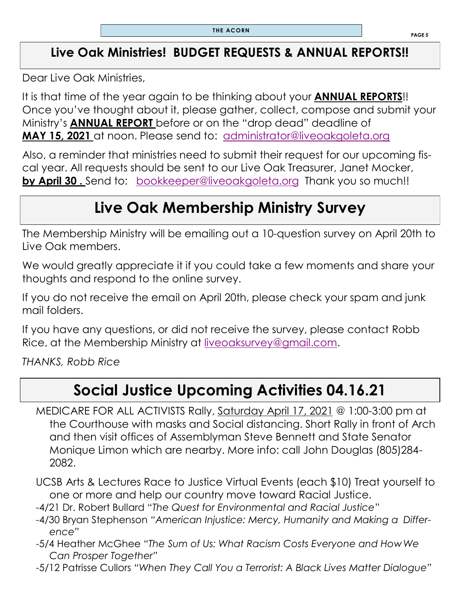### **Live Oak Ministries! BUDGET REQUESTS & ANNUAL REPORTS!!**

Dear Live Oak Ministries,

It is that time of the year again to be thinking about your **ANNUAL REPORTS**!! Once you've thought about it, please gather, collect, compose and submit your Ministry's **ANNUAL REPORT** before or on the "drop dead" deadline of **MAY 15, 2021** at noon. Please send to: [administrator@liveoakgoleta.org](mailto:administrator@liveoakgoleta.org) 

Also, a reminder that ministries need to submit their request for our upcoming fiscal year. All requests should be sent to our Live Oak Treasurer, Janet Mocker, **by April 30.** Send to: **bookkeeper@liveoakgoleta.org** Thank you so much!!

### **Live Oak Membership Ministry Survey**

The Membership Ministry will be emailing out a 10-question survey on April 20th to Live Oak members.

We would greatly appreciate it if you could take a few moments and share your thoughts and respond to the online survey.

If you do not receive the email on April 20th, please check your spam and junk mail folders.

If you have any questions, or did not receive the survey, please contact Robb Rice, at the Membership Ministry at [liveoaksurvey@gmail.com.](mailto:liveoaksurvey@gmail.com)

*THANKS, Robb Rice*

### **Social Justice Upcoming Activities 04.16.21**

MEDICARE FOR ALL ACTIVISTS Rally, Saturday April 17, 2021 @ 1:00-3:00 pm at the Courthouse with masks and Social distancing. Short Rally in front of Arch and then visit offices of Assemblyman Steve Bennett and State Senator Monique Limon which are nearby. More info: call John Douglas (805)284- 2082.

UCSB Arts & Lectures Race to Justice Virtual Events (each \$10) Treat yourself to one or more and help our country move toward Racial Justice.

- -4/21 Dr. Robert Bullard "*The Quest for Environmental and Racial Justice*"
- -4/30 Bryan Stephenson *"American Injustice: Mercy, Humanity and Making a Difference"*
- -5/4 Heather McGhee *"The Sum of Us: What Racism Costs Everyone and HowWe Can Prosper Together"*
- -5/12 Patrisse Cullors *"When They Call You a Terrorist: A Black Lives Matter Dialogue"*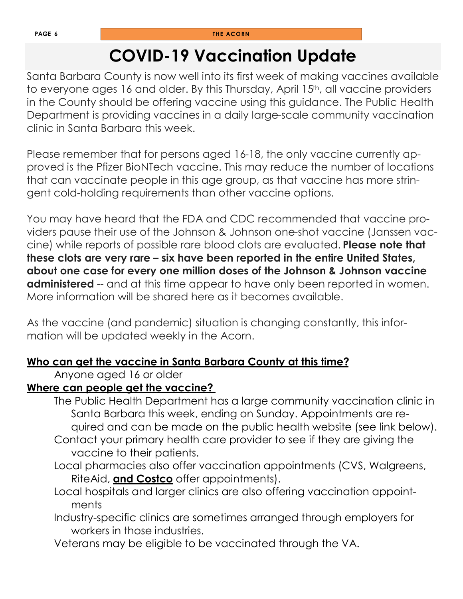### **COVID-19 Vaccination Update**

Santa Barbara County is now well into its first week of making vaccines available to everyone ages 16 and older. By this Thursday, April 15<sup>th</sup>, all vaccine providers in the County should be offering vaccine using this guidance. The Public Health Department is providing vaccines in a daily large-scale community vaccination clinic in Santa Barbara this week.

Please remember that for persons aged 16-18, the only vaccine currently approved is the Pfizer BioNTech vaccine. This may reduce the number of locations that can vaccinate people in this age group, as that vaccine has more stringent cold-holding requirements than other vaccine options.

You may have heard that the FDA and CDC recommended that vaccine providers pause their use of the Johnson & Johnson one-shot vaccine (Janssen vaccine) while reports of possible rare blood clots are evaluated. **Please note that these clots are very rare – six have been reported in the entire United States, about one case for every one million doses of the Johnson & Johnson vaccine administered** -- and at this time appear to have only been reported in women. More information will be shared here as it becomes available.

As the vaccine (and pandemic) situation is changing constantly, this information will be updated weekly in the Acorn.

#### **Who can get the vaccine in Santa Barbara County at this time?**

Anyone aged 16 or older

#### **Where can people get the vaccine?**

- The Public Health Department has a large community vaccination clinic in Santa Barbara this week, ending on Sunday. Appointments are required and can be made on the public health website (see link below). Contact your primary health care provider to see if they are giving the
- vaccine to their patients.
- Local pharmacies also offer vaccination appointments (CVS, Walgreens, RiteAid, **and Costco** offer appointments).
- Local hospitals and larger clinics are also offering vaccination appointments
- Industry-specific clinics are sometimes arranged through employers for workers in those industries.
- Veterans may be eligible to be vaccinated through the VA.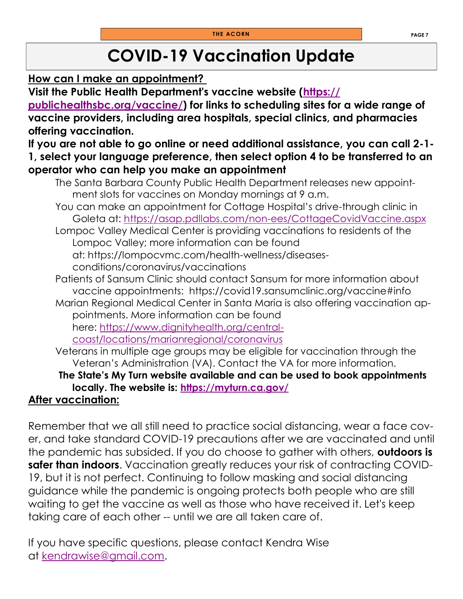## **COVID-19 Vaccination Update**

**How can I make an appointment?**

**Visit the Public Health Department's vaccine website ([https://](https://publichealthsbc.org/vaccine/)**

**[publichealthsbc.org/vaccine/\)](https://publichealthsbc.org/vaccine/) for links to scheduling sites for a wide range of vaccine providers, including area hospitals, special clinics, and pharmacies offering vaccination.**

#### **If you are not able to go online or need additional assistance, you can call 2-1- 1, select your language preference, then select option 4 to be transferred to an operator who can help you make an appointment**

- The Santa Barbara County Public Health Department releases new appointment slots for vaccines on Monday mornings at 9 a.m.
- You can make an appointment for Cottage Hospital's drive-through clinic in Goleta at: <https://asap.pdllabs.com/non-ees/CottageCovidVaccine.aspx>

Lompoc Valley Medical Center is providing vaccinations to residents of the Lompoc Valley; more information can be found at: [https://lompocvmc.com/health-wellness/diseases-](https://lompocvmc.com/health-wellness/diseases-conditions/coronavirus/vaccinations)

[conditions/coronavirus/vaccinations](https://lompocvmc.com/health-wellness/diseases-conditions/coronavirus/vaccinations)

- Patients of Sansum Clinic should contact Sansum for more information about vaccine appointments: <https://covid19.sansumclinic.org/vaccine#info>
- Marian Regional Medical Center in Santa Maria is also offering vaccination appointments. More information can be found here: [https://www.dignityhealth.org/central-](https://www.dignityhealth.org/central-coast/locations/marianregional/coronavirus)

[coast/locations/marianregional/coronavirus](https://www.dignityhealth.org/central-coast/locations/marianregional/coronavirus)

Veterans in multiple age groups may be eligible for vaccination through the Veteran's Administration (VA). Contact the VA for more information.

#### **The State's My Turn website available and can be used to book appointments locally. The website is: <https://myturn.ca.gov/>**

#### **After vaccination:**

Remember that we all still need to practice social distancing, wear a face cover, and take standard COVID-19 precautions after we are vaccinated and until the pandemic has subsided. If you do choose to gather with others, **outdoors is safer than indoors**. Vaccination greatly reduces your risk of contracting COVID-19, but it is not perfect. Continuing to follow masking and social distancing guidance while the pandemic is ongoing protects both people who are still waiting to get the vaccine as well as those who have received it. Let's keep taking care of each other -- until we are all taken care of.

If you have specific questions, please contact Kendra Wise at [kendrawise@gmail.com.](mailto:kendrawise@gmail.com)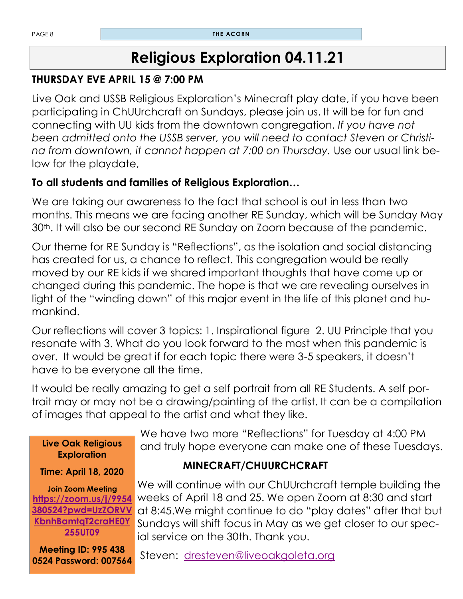### **Religious Exploration 04.11.21**

#### **THURSDAY EVE APRIL 15 @ 7:00 PM**

Live Oak and USSB Religious Exploration's Minecraft play date, if you have been participating in ChUUrchcraft on Sundays, please join us. It will be for fun and connecting with UU kids from the downtown congregation. *If you have not been admitted onto the USSB server, you will need to contact Steven or Christina from downtown, it cannot happen at 7:00 on Thursday.* Use our usual link below for the playdate,

#### **To all students and families of Religious Exploration…**

We are taking our awareness to the fact that school is out in less than two months. This means we are facing another RE Sunday, which will be Sunday May 30<sup>th</sup>. It will also be our second RE Sunday on Zoom because of the pandemic.

Our theme for RE Sunday is "Reflections", as the isolation and social distancing has created for us, a chance to reflect. This congregation would be really moved by our RE kids if we shared important thoughts that have come up or changed during this pandemic. The hope is that we are revealing ourselves in light of the "winding down" of this major event in the life of this planet and humankind.

Our reflections will cover 3 topics: 1. Inspirational figure 2. UU Principle that you resonate with 3. What do you look forward to the most when this pandemic is over. It would be great if for each topic there were 3-5 speakers, it doesn't have to be everyone all the time.

It would be really amazing to get a self portrait from all RE Students. A self portrait may or may not be a drawing/painting of the artist. It can be a compilation of images that appeal to the artist and what they like.

| Live Oak Religious<br><b>Exploration</b>                                                                         |
|------------------------------------------------------------------------------------------------------------------|
| <b>Time: April 18, 2020</b>                                                                                      |
| <b>Join Zoom Meeting</b><br>https://zoom.us/j/9954<br>380524?pwd=UzZORVV<br>KbnhBamtqT2craHE0Y<br><b>255UT09</b> |
| <b>Meeting ID: 995 438</b><br>0524 Password: 007564                                                              |

 We have two more "Reflections" for Tuesday at 4:00 PM and truly hope everyone can make one of these Tuesdays.

#### **MINECRAFT/CHUURCHCRAFT**

 We will continue with our ChUUrchcraft temple building the weeks of April 18 and 25. We open Zoom at 8:30 and start at 8:45.We might continue to do "play dates" after that but Sundays will shift focus in May as we get closer to our spec ial service on the 30th. Thank you.

Steven: [dresteven@liveoakgoleta.org](mailto:dresteven@liveoakgoleta.org)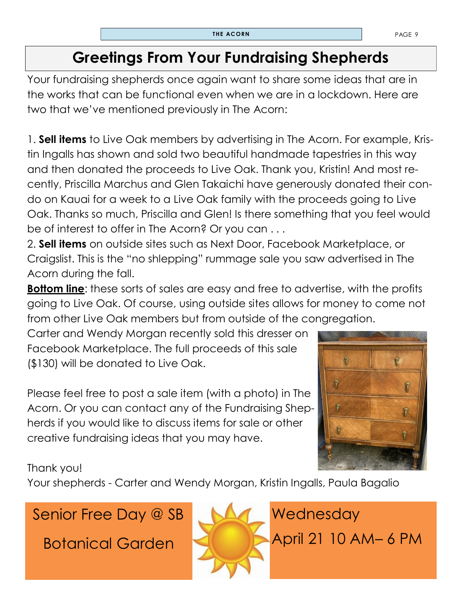### **Greetings From Your Fundraising Shepherds**

Your fundraising shepherds once again want to share some ideas that are in the works that can be functional even when we are in a lockdown. Here are two that we've mentioned previously in The Acorn:

1. **Sell items** to Live Oak members by advertising in The Acorn. For example, Kristin Ingalls has shown and sold two beautiful handmade tapestries in this way and then donated the proceeds to Live Oak. Thank you, Kristin! And most recently, Priscilla Marchus and Glen Takaichi have generously donated their condo on Kauai for a week to a Live Oak family with the proceeds going to Live Oak. Thanks so much, Priscilla and Glen! Is there something that you feel would be of interest to offer in The Acorn? Or you can . . .

2. **Sell items** on outside sites such as Next Door, Facebook Marketplace, or Craigslist. This is the "no shlepping" rummage sale you saw advertised in The Acorn during the fall.

**Bottom line**: these sorts of sales are easy and free to advertise, with the profits going to Live Oak. Of course, using outside sites allows for money to come not from other Live Oak members but from outside of the congregation.

Carter and Wendy Morgan recently sold this dresser on Facebook Marketplace. The full proceeds of this sale (\$130) will be donated to Live Oak.

Please feel free to post a sale item (with a photo) in The Acorn. Or you can contact any of the Fundraising Shepherds if you would like to discuss items for sale or other creative fundraising ideas that you may have.



Thank you!

Your shepherds - Carter and Wendy Morgan, Kristin Ingalls, Paula Bagalio

### Senior Free Day @ SB

Botanical Garden

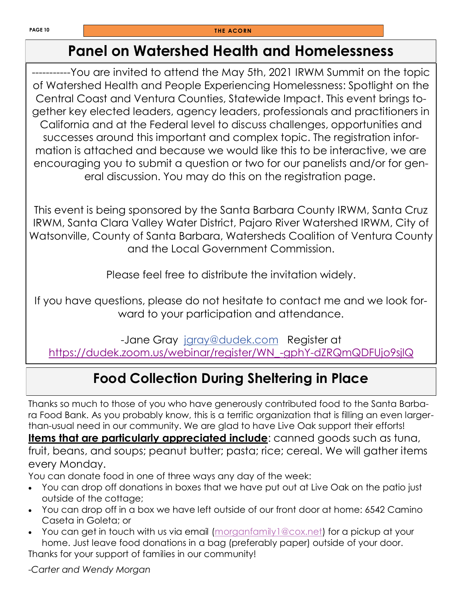### **Panel on Watershed Health and Homelessness**

-----------You are invited to attend the May 5th, 2021 IRWM Summit on the topic of Watershed Health and People Experiencing Homelessness: Spotlight on the Central Coast and Ventura Counties, Statewide Impact. This event brings together key elected leaders, agency leaders, professionals and practitioners in California and at the Federal level to discuss challenges, opportunities and successes around this important and complex topic. The registration information is attached and because we would like this to be interactive, we are encouraging you to submit a question or two for our panelists and/or for general discussion. You may do this on the registration page.

This event is being sponsored by the Santa Barbara County IRWM, Santa Cruz IRWM, Santa Clara Valley Water District, Pajaro River Watershed IRWM, City of Watsonville, County of Santa Barbara, Watersheds Coalition of Ventura County and the Local Government Commission.

Please feel free to distribute the invitation widely.

If you have questions, please do not hesitate to contact me and we look forward to your participation and attendance.

-Jane Gray [jgray@dudek.com](mailto:jgray@dudek.com) Register at [https://dudek.zoom.us/webinar/register/WN\\_-gphY-dZRQmQDFUjo9sjlQ](https://dudek.zoom.us/webinar/register/WN_-gphY-dZRQmQDFUjo9sjlQ)

### **Food Collection During Sheltering in Place**

Thanks so much to those of you who have generously contributed food to the Santa Barbara Food Bank. As you probably know, this is a terrific organization that is filling an even largerthan-usual need in our community. We are glad to have Live Oak support their efforts! **Items that are particularly appreciated include**: canned goods such as tuna, fruit, beans, and soups; peanut butter; pasta; rice; cereal. We will gather items every Monday.

You can donate food in one of three ways any day of the week:

- You can drop off donations in boxes that we have put out at Live Oak on the patio just outside of the cottage;
- You can drop off in a box we have left outside of our front door at home: 6542 Camino Caseta in Goleta; or
- You can get in touch with us via email (morganfamily 1@cox.net) for a pickup at your home. Just leave food donations in a bag (preferably paper) outside of your door. Thanks for your support of families in our community!

-*Carter and Wendy Morgan*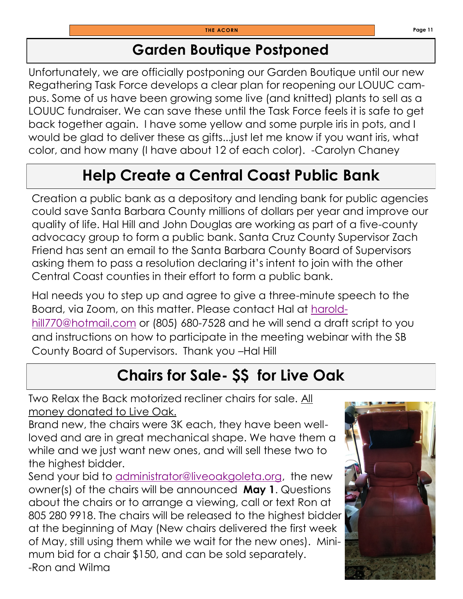### **Garden Boutique Postponed**

Unfortunately, we are officially postponing our Garden Boutique until our new Regathering Task Force develops a clear plan for reopening our LOUUC campus. Some of us have been growing some live (and knitted) plants to sell as a LOUUC fundraiser. We can save these until the Task Force feels it is safe to get back together again. I have some yellow and some purple iris in pots, and I would be glad to deliver these as gifts...just let me know if you want iris, what color, and how many (I have about 12 of each color). -Carolyn Chaney

### **Help Create a Central Coast Public Bank**

Creation a public bank as a depository and lending bank for public agencies could save Santa Barbara County millions of dollars per year and improve our quality of life. Hal Hill and John Douglas are working as part of a five-county advocacy group to form a public bank. Santa Cruz County Supervisor Zach Friend has sent an email to the Santa Barbara County Board of Supervisors asking them to pass a resolution declaring it's intent to join with the other Central Coast counties in their effort to form a public bank.

Hal needs you to step up and agree to give a three-minute speech to the Board, via Zoom, on this matter. Please contact Hal at [harold](mailto:haroldhill770@hotmail.com)[hill770@hotmail.com](mailto:haroldhill770@hotmail.com) or (805) 680-7528 and he will send a draft script to you and instructions on how to participate in the meeting webinar with the SB County Board of Supervisors. Thank you –Hal Hill

### **Chairs for Sale- \$\$ for Live Oak**

Two Relax the Back motorized recliner chairs for sale. All money donated to Live Oak.

Brand new, the chairs were 3K each, they have been wellloved and are in great mechanical shape. We have them a while and we just want new ones, and will sell these two to the highest bidder.

Send your bid to [administrator@liveoakgoleta.org,](mailto:administrator@liveoakgoleta.org) the new owner(s) of the chairs will be announced **May 1**. Questions about the chairs or to arrange a viewing, call or text Ron at 805 280 9918. The chairs will be released to the highest bidder at the beginning of May (New chairs delivered the first week of May, still using them while we wait for the new ones). Minimum bid for a chair \$150, and can be sold separately. -Ron and Wilma